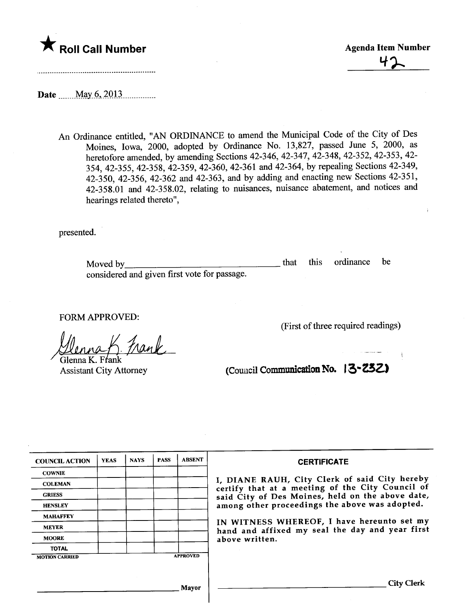

42

Date n\_ \_ \_ mM\_a.YnQ-,\_io. lJ \_ \_ n\_\_ \_ \_ \_ \_ \_ \_ \_\_\_

An Ordinance entitled, "AN ORDINANCE to amend the Muncipal Code of the City of Des Moines, Iowa, 2000, adopted by Ordinance No. 13,827, passed June 5, 2000, as heretofore amended, by amending Sections 42-346, 42-347, 42-348, 42-352, 42-353, 42- 354, 42-355, 42-358, 42-359, 42-360, 42-361 and 42-364, by repealing Sections 42-349, 42-350, 42-356, 42-362 and 42-363, and by adding and enacting new Sections 42-351, 42-358.01 and 42-358.02, relating to nuisances, nuisance abatement, and notices and hearings related thereto",

presented.

Moved by considered and given first vote for passage. that this ordinance be

FORM APPROVED:

Jlenna K. Frank<br>Glenna K. Frank<br>Assistant City Attorney

(First of three required readings)

(Council Communication No. 13-232)

| <b>COUNCIL ACTION</b> | <b>YEAS</b> | <b>NAYS</b> | <b>PASS</b> | <b>ABSENT</b>   | <b>CERTIFICATE</b>                                                                                                                                                                                      |
|-----------------------|-------------|-------------|-------------|-----------------|---------------------------------------------------------------------------------------------------------------------------------------------------------------------------------------------------------|
| <b>COWNIE</b>         |             |             |             |                 |                                                                                                                                                                                                         |
| <b>COLEMAN</b>        |             |             |             |                 | I, DIANE RAUH, City Clerk of said City hereby<br>certify that at a meeting of the City Council of<br>said City of Des Moines, held on the above date,<br>among other proceedings the above was adopted. |
| <b>GRIESS</b>         |             |             |             |                 |                                                                                                                                                                                                         |
| <b>HENSLEY</b>        |             |             |             |                 |                                                                                                                                                                                                         |
| <b>MAHAFFEY</b>       |             |             |             |                 |                                                                                                                                                                                                         |
| <b>MEYER</b>          |             |             |             |                 | IN WITNESS WHEREOF, I have hereunto set my<br>hand and affixed my seal the day and year first<br>above written.                                                                                         |
| <b>MOORE</b>          |             |             |             |                 |                                                                                                                                                                                                         |
| <b>TOTAL</b>          |             |             |             |                 |                                                                                                                                                                                                         |
| <b>MOTION CARRIED</b> |             |             |             | <b>APPROVED</b> |                                                                                                                                                                                                         |
|                       |             |             |             |                 |                                                                                                                                                                                                         |
|                       |             |             |             | <b>Mayor</b>    | <b>City Clerk</b>                                                                                                                                                                                       |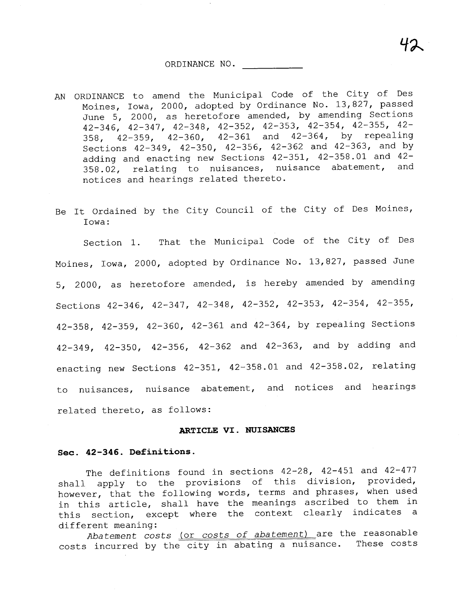AN ORDINANCE to amend the Municipal Code of the City of Des Moines, Iowa, 2000, adopted by Ordinance No. 13,827, passed June 5, 2000, as heretofore amended, by amending Sections 42-346, 42-347, 42-348, 42-352, 42-353, 42-354, 42-355, 42- 358, 42-359, 42-360, 42-361 and 42-364, by repealing Sections 42-349, 42-350, 42-356, 42-362 and 42-363, and by adding and enacting new Sections  $42-351$ ,  $42-358.01$  and  $42-358.02$  rolating to puisances puisance abatement, and 358.02, relating to nuisances, nuisance abatement, notices and hearings related thereto.

42

Be It Ordained by the City Council of the City of Des Moines, Iowa:

Section 1. That the Municipal Code of the City of Des Moines, Iowa, 2000, adopted by Ordinance No. 13,827, passed June 5, 2000, as heretofore amended, is hereby amended by amending Sections 42-346, 42-347, 42-348, 42-352, 42-353, 42-354, 42-355, 42-358, 42-359, 42-360, 42-361 and 42-364, by repealing Sections 42-349, 42-350, 42-356, 42-362 and 42-363, and by adding and enacting new Sections 42-351, 42-358.01 and 42-358.02, relating to nuisances, nuisance abatement, and notices and hearings related thereto, as follows:

#### ARTICLE VI. NUISANCES

#### Sec. 42-346. Definitions.

The definitions found in sections 42-28, 42-451 and 42-477 shall apply to the provisions of this division, provided, however, that the following words, terms and phrases, when used in this article, shall have the meanings ascribed to them in this section, except where the context clearly indicates a different meaning:

Abatement costs (or costs of abatement) are the reasonable costs incurred by the city in abating a nuisance. These costs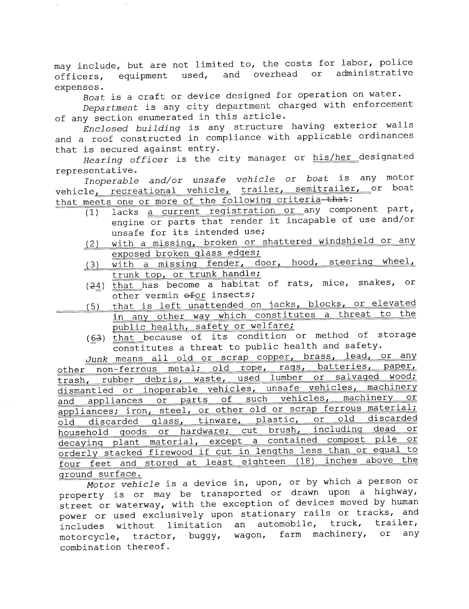may include, but are not limited to, the costs for labor, police officers, equipment used, and overhead or administrative expenses.

Boat is a craft or device designed for operation on water.

Department is any city department charged with enforcement of any section enumerated in this article.

Enclosed building is any structure having exterior walls and a roof constructed in compliance with applicable ordinances that is secured against entry.

Hearing officer is the city manager or his/her designated representative.

Inoperable and/or unsafe vehicle or boat is any motor vehicle<sub>1</sub> recreational vehicle<sub>1</sub> trailer, semitrailer, or boat that meets one or more of the following criteria that:<br>(1) lacks a current registration or any compo

- (1) lacks a current registration or any component part, engine or parts that render it incapable of use and/or unsafe for its intended use;
- (2) with a missing, broken or shattered windshield or any exposed broken qlass edqes;
- (3) with a missing fender, door, hood, steering wheel, trunk top, or trunk handle;
- $(24)$  that has become a habitat of rats, mice, snakes, or other vermin  $efor$  insects;
- (5) that is left unattended on jacks, blocks, or elevated in any other way which constitutes a threat to the public health, safety or welfare;
	- $(63)$  that because of its condition or method of storage constitutes a threat to public health and safety.

Junk means all old or scrap copper, brass, lead, or any other non-ferrous metal; old rope, raqs, batteries, paper, trash, rubber debris, waste, used lumber or salvaqed wood; dismantled or inoperable vehicles, unsafe vehicles, machinery and appliances or parts of such vehicles, machinery or appliances; iron, steel, or other old or scrap ferrous material; old discarded qlass, tinware, plastic, or old discarded household qoods or hardware; cut brush, includinq dead or decayinq plant material, except a contained compost pile or orderly stacked firewood if cut in lengths less than or equal to four feet and stored at least eiqhteen (18) inches above the qround surface.

Motor vehicle is a device in, upon, or by which a person or property is or may be transported or drawn upon a highway, street or waterway, with the exception of devices moved by human<br>power or used exclusively upon stationary rails or tracks, and includes without limitation an automobile, truck, trailer, motorcycle, tractor, buggy, wagon, farm machinery, or any combination thereof.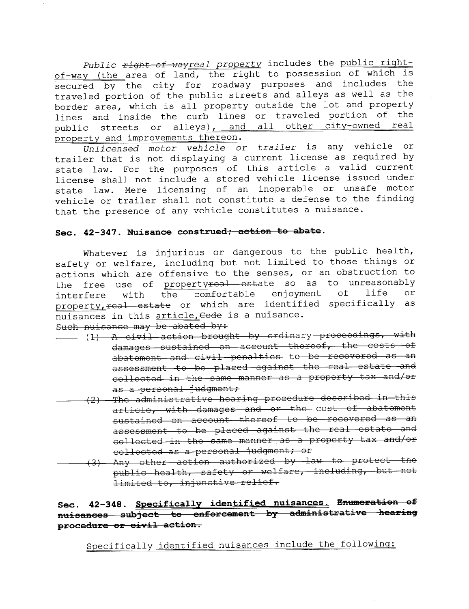Public right-of-wayreal property includes the public rightof-way (the area of land, the right to possession of which is secured by the city for roadway purposes and includes the traveled portion of the public streets and alleys as well as the border area, which is all property outside the lot and property lines and inside the curb lines or traveled portion of the public streets or alleys), and all other city-owned real property and improvements thereon.

Unlicensed motor vehicle or trailer is any vehicle or trailer that is not displaying a current license as required by state law. For the purposes of this article a valid current license shall not include a stored vehicle license issued under state law. Mere licensing of an inoperable or unsafe motor vehicle or trailer shall not constitute a defense to the finding that the presence of any vehicle constitutes a nuisance.

### Sec. 42-347. Nuisance construed; action to abate.

Whatever is injurious or dangerous to the public health, safety or welfare, including but not limited to those things or actions which are offensive to the senses, or an obstruction to the free use of <u>property<del>real estate</del> so as to unreasonably</u><br>interfere with the comfortable enjoyment of life or interfere with the comfortable enjoyment of life or p<u>roperty, real estate</u> or which are identified specifically as nuisances in this article, Gode is a nuisance.

Such nuisance may be abated by:

- $\begin{array}{cccc} & (1) & \Lambda & \hbox{civil} \end{array}$  action brought by ordinary proceedings, with damages sustained on account thereof, the costs of abatement and civil penalties to be recovered as an assessment to be placed against the real estate and collected in the same manner as a property tax and/or
- as a personal judgment;<br>The administrative hearing procedure described in this (2) Tho ~dffiniotr~ti vo ho~ring proccduro dcocribod in thio ~rticlo, '.Ji th d;:ff~gOC ~nd or tho coot of ~b~tomcnt sustained on account thereof to be recovered as an assessment to be placed against the real estate and collocted in the same manner as a property tax and/or
- collected as a personal judgment; or<br>(3) Any other action authorized by law to protect the public health, safety or welfare, including, but not limited to, injunctive relief.

# Sec. 42-348. Specifically identified nuisances. Enumeration of nuisances subject to enforcement by administrative hearing procedure or civil action.

Specifically identified nuisances include the followinq: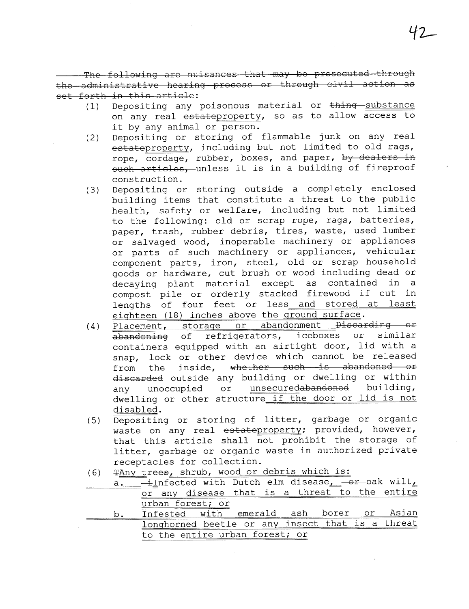The following are nuisances that may be prosecuted through the administrative hearing process or through civil action as set forth in this article:

- $(1)$  Depositing any poisonous material or  $\pm$ hing substance on any real estateproperty, so as to allow access to it by any animal or person.
- (2) Depositing or storing of flammable junk on any real estateproperty, including but not limited to old rags, rope, cordage, rubber, boxes, and paper, by dealers in such articles, unless it is in a building of fireproof construction.
- (3) Depositing or storing outside a completely enclosed building items that constitute a threat to the public health, safety or welfare, including but not limited to the following: old or scrap rope, rags, batteries, paper, trash, rubber debris, tires, waste, used lumber or salvaged wood, inoperable machinery or appliances or parts of such machinery or appliances, vehicular component parts, iron, steel, old or scrap household goods or hardware, cut brush or wood including dead or decaying plant material except as contained in a<br>compost pile or orderly stacked firewood if cut in lengths of four feet or less and stored at least eiqhteen (18) inches above the qround surface.
- (4)  $\overline{\text{Placent}}$ , storage or abandonment Discarding or<br>abandoning of refrigerators, iceboxes or similar abandoning of refrigerators, iceboxes or containers equipped with an airtight door, lid with a snap, lock or other device which cannot be released from the inside, whether such is abandoned or discarded outside any building or dwelling or within any unoccupied or unsecuredabandoned building, dwelling or other structure if the door or lid is not disabled.
- (5) Depositing or storing of litter, garbage or organic waste on any real estateproperty; provided, however, that this article shall not prohibit the storage of litter, garbage or organic waste in authorized private receptacles for collection.
- (6) TAny trees, shrub, wood or debris which is:
- $a.$  -infected with Dutch elm disease,  $-$ or-oak wilt, or any disease that is a threat to the entire urban forest; or
- b. Infested with emerald ash borer or Asian lonqhorned beetle or any insect that is a threat to the entire urban forest; or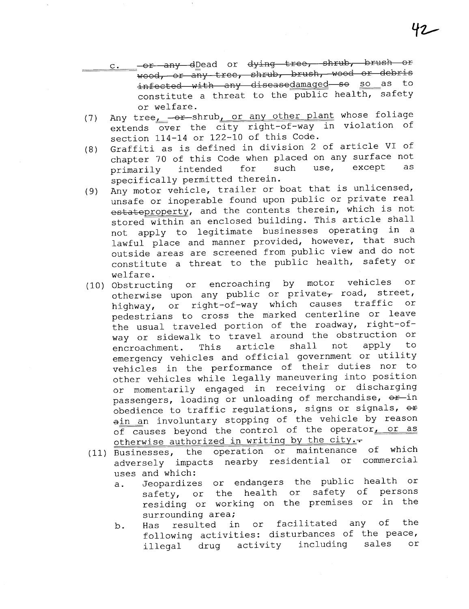- c. or any dDead or dying tree, shrub, brush or  $\overline{\text{wood}}$ , or any tree, shrub, brush, wood or debris<br>infected with any diseasedamaged so so as to infected with any diseasedamaged so so as constitute a threat to the public health, safety or welfare.
- (7) Any tree -- shrub, or any other plant whose foliage extends over the city right-of-way in violation of section 114-14 or 122-10 of this Code.
- (8) Graffiti as is defined in division 2 of article VI of chapter 70 of this Code when placed on any surface not<br>primarily intended for such use, except as primarily intended specifically permitted therein.
- (9) Any motor vehicle, trailer or boat that is unlicensed, unsafe or inoperable found upon public or private real estateproperty, and the contents therein, which is not stored within an enclosed building. This article shall not apply to legitimate businesses operating in a lawful place and manner provided, however, that such outside areas are screened from public view and do not constitute a threat to the public health, safety or
- welfare.<br>(10) Obstructing Obstructing or encroaching by motor vehicles or otherwise upon any public or private, road, street, highway, or right-of-way which causes traffic or pedestrians to cross the marked centerline or leave the usual traveled portion of the roadway, right-ofway or sidewalk to travel around the obstruction or<br>encroachment. This article shall not apply to encroachment. This article shall not apply to emergency vehicles and official government or utility vehicles in the performance of their duties nor to other vehicles while legally maneuvering into position or momentarily engaged in receiving or discharging passengers, loading or unloading of merchandise,  $\Theta \hat{r}$ in obedience to traffic regulations, signs or signals,  $\Theta$ # ain an involuntary stopping of the vehicle by reason of causes beyond the control of the operator, or as otherwise authorized in writing by the city.-
- (11) Businesses, the operation or maintenance of which adversely impacts nearby residential or commercial uses and which:
	- a. Jeopardizes or endangers the public health or safety, or the health or safety of persons residing or working on the premises or in the<br>surrounding area;
	- surrounding area;<br>b. Has resulted in or facilitated any of the mas even activities: disturbances of the peace,<br>illegal drug activity including sales or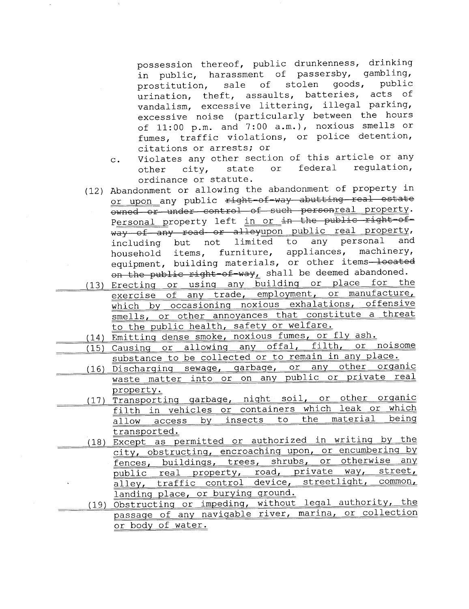possession thereof, public drunkenness, drinking in public, harassment of passersby, gambling,<br>prostitution, sale of stolen goods, public prostitution, sale of stolen goods, public urination, theft, assaults, batteries, acts of vandalism, excessive littering, illegal parking, excessive noise (particularly between the hours of 11:00 p.m. and 7:00 a.m.), noxious smells or fumes, traffic violations, or police detention, citations or arrests; or

- c. Violates any other section of this article or any<br>other city, state or federal regulation, other city, state or federal regulation,
- ordinance or statute.<br>(12) Abandonment or allowing the abandonment of property in or upon any public <del>right-of-way abutting real estate</del> whed or under control of such personreal property. Personal property left in or in the public right-ofway of any road or alleyupon public real property,<br>including but not limited to any personal and including but not limited to any personal and<br>household items, furniture, appliances, machinery, household items, furniture, equipment, building materials, or other items-located on the public right-of-way, shall be deemed abandoned.
- (13) Erecting or using any building or place for the exercise of any trade, employment, or manufacture, which by occasioning noxious exhalations, offensive smells, or other annoyances that constitute a threat to the public health, safety or welfare.

(14) Emittinq dense smoke, noxious fumes, or fly ash.

- (15) Causinq or allowinq any offal, filth, or noisome substance to be collected or to remain in any place.<br>(16) Discharging sewage, garbage, or any other organic
- waste matter into or on any public or private real property.
	- (17) Transporting garbage, night soil, or other organic filth in vehicles or containers which leak or which<br>allow access by insects to the material being allow access by insects to transported.
	- (18) Except as permitted or authorized in writing by the city, obstructing, encroaching upon, or encumbering by<br>fences, buildings, trees, shrubs, or otherwise any public real property, road, private way, street, alley, traffic control device, streetliqht, common, landing place, or burying ground.
	- (19) Obstructinq or impedinq, without leqal authority, the passaqe of any naviqable river, marina, or collection or body of water.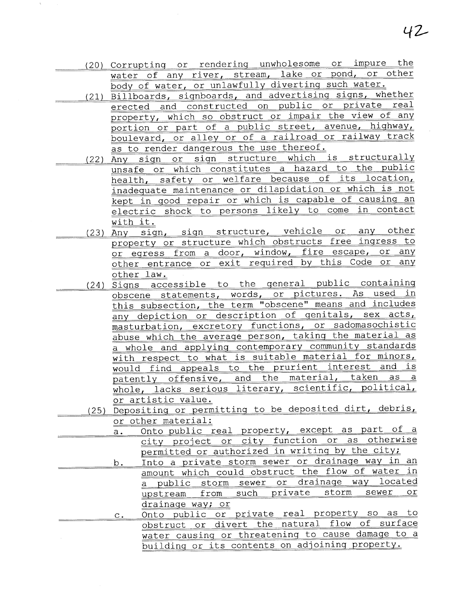- (20) Corruptinq or renderinq unwholesome or impure the water of any river, stream, lake or pond, or other body of water, or unlawfully diverting such water.
- (21) Billboards, siqnboards, and advertisinq siqns, whether erected and constructed on public or private real property, which so obstruct or impair the view of any portion or part of a public street, avenue, highway, boulevard, or alley or of a railroad or railway track as to render dangerous the use thereof.<br>(22) Any sign or sign structure which is structurally
	- unsafe or which constitutes a hazard to the public<br>health, safety or welfare because of its location, inadequate maintenance or dilapidation or which is not kept in qood repair or which is capable of causinq an electric shock to persons likely to come in contact with it.
	- (23) Any sign, sign structure, vehicle or any other property or structure which obstructs free inqress to or egress from a door, window, fire escape, or any other entrance or exit required by this Code or any other law.
	- (24) Siqns accessible to the qeneral public containinq obscene statements, words, or pictures. As used in this subsection, the term "obscene" means and includes any depiction or description of genitals, sex acts, masturbation, excretory functions, or sadomasochistic abuse which the average person, taking the material as a whole and applyinq contemporary community standards with respect to what is suitable material for minors, would find appeals to the prurient interest and is patently offensive, and the material, taken as a whole, lacks serious literary, scientific, political, or artistic value.
	- (25) Depositinq or permittinq to be deposited dirt, debris, or other material:
- a. Onto public real property, except as part of a city project or city function or as otherwise permitted or authorized in writing by the city;
- b. Into a private storm sewer or drainage way in an amount which could obstruct the flow of water in a public storm sewer or drainage way located<br>unstream from such private storm sewer or upstream from such private storm sewer drainaqe way; or
	- c. Onto public or private real property so as to obstruct or divert the natural flow of surface water causinq or threateninq to cause damaqe to a building or its contents on adjoining property.

42-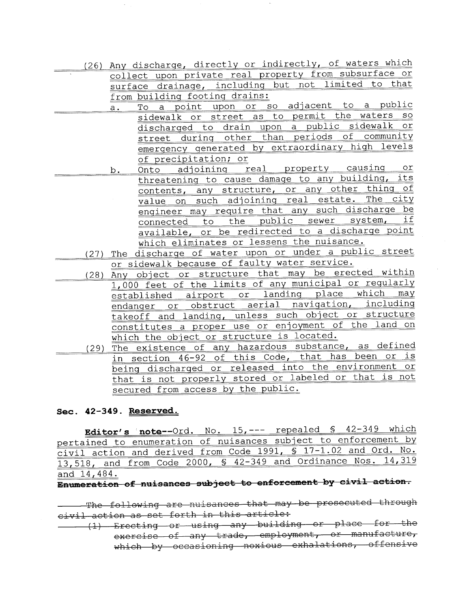- (26) Any discharqe, directly or indirectly, of waters which collect upon private real property from subsurface or surface drainage, including but not limited to that<br>from building footing drains:
	- a. To a point upon or so adjacent to a public sidewalk or street as to permit the waters so discharged to drain upon a public sidewalk or street during other than periods of community emerqency qenerated by extraordinary hiqh levels
	- of precipitation; or<br>b. Onto adjoining real property causing or threateninq to cause damaqe to any buildinq, its contents, any structure, or any other thinq of value on such adioininq real estate. The city engineer may require that any such discharge be<br>connected to the public sewer system, if connected to the public sewer system, available, or be redirected to a discharqe point which eliminates or lessens the nuisance.
- (27) The discharge of water upon or under a public street or sidewalk because of faulty water service.
- (28) Any object or structure that may be erected within 1,000 feet of the limits of any municipal or regularly established airport or landing place which endanqer or obstruct aerial naviqation, includinq takeoff and landing, unless such object or structure constitutes a proper use or enjoyment of the land on which the object or structure is located.
- (29) The existence of any hazardous substance, as defined in section 46-92 of this Code, that has been or is beinq discharqed or released into the environment or that is not properly stored or labeled or that is not secured from access by the public.

## Sec. 42-349. Reserved.

Editor's note--Ord. No. 15, --- repealed § 42-349 which pertained to enumeration of nuisances subject to enforcement by civil action and derived from Code 1991, § 17-1.02 and Ord. No. 13,518, and from Code 2000, § 42-349 and Ordinance Nos. 14,319 and 14, 484 .

 $\overline{\text{Emumeration of nuisances subject to enforcement by civil action.}}$ 

The following are nuisances that may be prosecuted through where to remain are naroanses once any<br>civil action as set forth in this article:

(1) Erecting or using any building or place for the<br>Column exercise of any trade, employment, or manufacture, which by occasioning noxious exhalations, offensive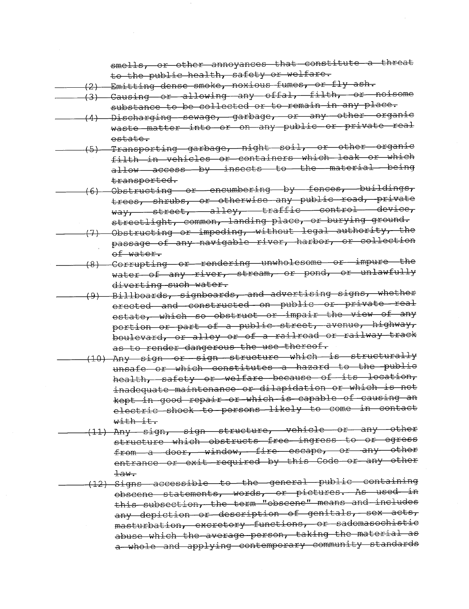smells, or other annoyances that constitute a threat to the public health, safety or welfare.

(2) Emitting dense smoke, noxious fumes, or fly ash.

- (3) Causing or allowing any offal, filth, or noisome substance to be collected or to remain in any place.
- (4) Discharging sewage, garbage, or any other organic waste matter into or on any public or private real estate.
- Transporting garbage, night soil, or other organic  $(5)$ filth in vehicles or containers which leak or which allow access by insects to the material being transported.
- Obstructing or encumbering by fences, buildings,  $(6)$ trees, shrubs, or otherwise any public road, private way, street, alley, traffic control device, streetlight, common, landing place, or burying ground.
	- (7) Obstructing or impeding, without legal authority, the passage of any navigable river, harbor, or collection of water.
		- (8) Corrupting or rendering unwholesome or impure the water of any river, stream, or pond, or unlawfully diverting such water.
	- (9) Billboards, signboards, and advertising signs, whether erected and constructed on public or private real estate, which so obstruct or impair the view of any portion or part of a public street, avenue, highway, boulevard, or alley or of a railroad or railway track as to render dangerous the use thereof.
	- (10) Any sign or sign structure which is structurally unsafe or which constitutes a hazard to the public health, safety or welfare because of its location, inadequate maintenance or dilapidation or which is not kept in good repair or which is capable of causing an electric shock to persons likely to come in contact  $with$  $\pm t$ .
- (11) Any sign, sign structure, vehicle or any other structure which obstructs free ingress to or egress from a door, window, fire escape, or any other entrance or exit required by this Code or any other  $\pm$ aw.
- (12) Signs accessible to the general public containing obscene statements, words, or pictures. As used in this subsection, the term "obscene" means and includes any depiction or description of genitals, sex acts, masturbation, excretory functions, or sadomasochistic abuse which the average person, taking the material as a whole and applying contemporary community standards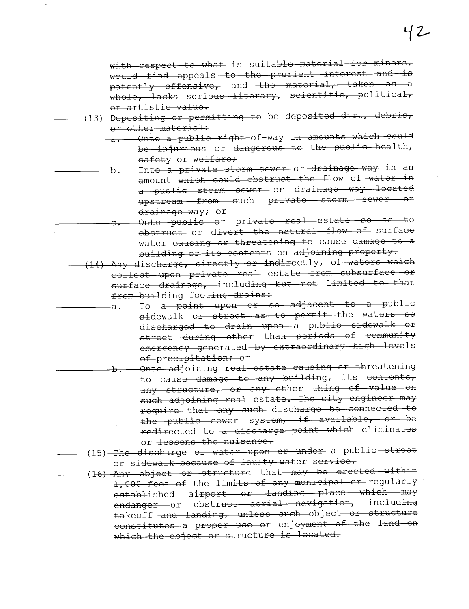with respect to what is suitable material for minors, would find appeals to the prurient interest and is patently offensive, and the material, taken as a whole, lacks serious literary, scientific, political, or artistic value.

- (13) Depositing or permitting to be deposited dirt, debris, or other material:
	- Onto a public right-of-way in amounts which could be injurious or dangerous to the public health, safety or welfare;
	- -Into a private storm sewer or drainage way in an amount which could obstruct the flow of water in a public storm sewer or drainage way located upstream-from-such private storm sewer or drainage way; or
	- Onto public or private real estate so as  $\pm \Theta$ obstruct or divert the natural flow of surface water causing or threatening to cause damage to a building or its contents on adjoining property.
- (14) Any discharge, directly or indirectly, of waters which collect upon private real estate from subsurface or surface drainage, including but not limited to that from building footing drains:
- To a point upon or so adjacent to a public sidewalk or street as to permit the waters so discharged to drain upon a public sidewalk or street during other than periods of community emergency generated by extraordinary high levels of precipitation; or
- Onto adjoining real estate causing or threatening to cause damage to any building, its contents, any structure, or any other thing of value on such adjoining real estate. The city engineer may require that any such discharge be connected to the public sewer system, if available, or be redirected to a discharge point which eliminates or lessens the nuisance.
- (15) The discharge of water upon or under a public street or sidewalk because of faulty water service.
- (16) Any object or structure that may be erected within 1,000 feet of the limits of any municipal or regularly established airport or landing place which may endanger or obstruct aerial navigation, including takeoff and landing, unless such object or structure constitutes a proper use or enjoyment of the land on which the object or structure is located.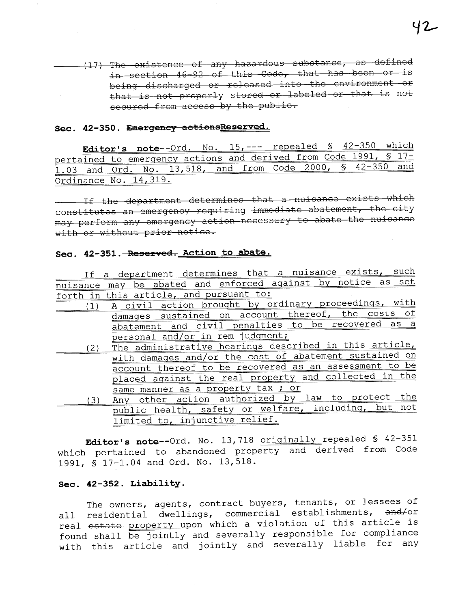(17) The existence of any hazardous substance, as defined in section 46-92 of this Code, that has been or is being discharged or released into the environment or that is not properly stored or labeled or that is not secured from access by the public.

## Sec. 42-350. Emergency actionsReserved.

Editor's note--Ord. No. 15, --- repealed \$ 42-350 which pertained to emergency actions and derived from Code 1991, \$ 17-1.03 and Ord. No. 13,518, and from Code 2000, \$ 42-350 and Ordinance No. 14, 319.

If the department determines that a nuisance exists which constitutes an emergency requiring immediate abatement, the city may perform any emergency action necessary to abate the nuisance with or without prior notice.

## Sec. 42-351. Reserved. Action to abate.

|     | If a department determines that a nuisance exists, such      |
|-----|--------------------------------------------------------------|
|     | nuisance may be abated and enforced against by notice as set |
|     | forth in this article, and pursuant to:                      |
| (1) | A civil action brought by ordinary proceedings, with         |
|     | damages sustained on account thereof, the costs of           |
|     | abatement and civil penalties to be recovered as a           |
|     | personal and/or in rem judgment;                             |
| (2) | The administrative hearings described in this article,       |
|     | with damages and/or the cost of abatement sustained on       |
|     | account thereof to be recovered as an assessment to be       |
|     | placed against the real property and collected in the        |
|     | same manner as a property tax ; or                           |
| 3)  | Any other action authorized by law to protect the            |
|     | public health, safety or welfare, including, but not         |
|     | limited to, injunctive relief.                               |

Editor's note--Ord. No. 13,718 originally repealed \$ 42-351 which pertained to abandoned property and derived from Code 1991, \$ 17-1.04 and Ord. No. 13,518.

#### Sec. 42-352. Liability.

The owners, agents, contract buyers, tenants, or lessees of all residential dwellings, commercial establishments, and/or real estate property upon which a violation of this article is found shall be jointly and severally responsible for compliance with this article and jointly and severally liable for any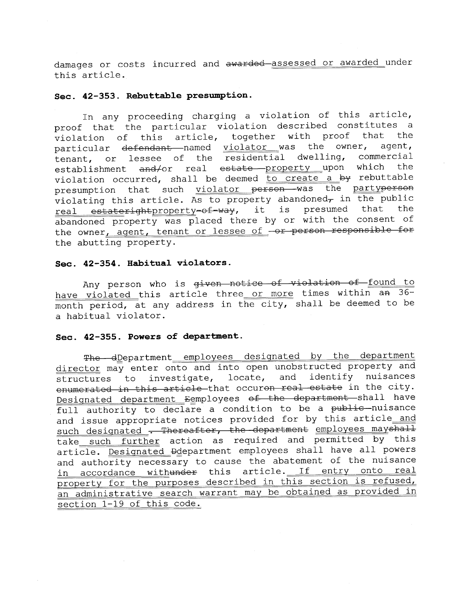damages or costs incurred and awarded assessed or awarded under this article.

#### Sec. 42-353. Rebuttable presumption.

In any proceeding charging a violation of this article, proof that the particular violation described constitutes a violation of this article, together with proof that the<br>particular defendant named violator was the owner, agent, particular <del>defendant </del>named <u>violator was</u> the owner, agent, tenant, or lessee of the residential dwelling, commercial<br>establishment and/or real estate property upon which the establishment and/or real estate property upon which violation occurred, shall be deemed  $\overline{\text{to create}}$  a by rebuttable presumption that such violator person was the partyperson<br>violating this article. As to property abandoned, in the public real estaterightproperty=of=way, it is presumed that the abandoned property was placed there by or with the consent of the owner, agent, tenant or lessee of -or person responsible for the abutting property.

## Sec. 42-354. Habitual violators.

Any person who is given notice of violation of found to have violated this article three or more times within an 36month period, at any address in the city, shall be deemed to be a habitual violator.

#### Sec. 42-355. Powers of department.

The dDepartment employees designated by the department director may enter onto and into open unobstructed property and<br>structures to investigate, locate, and identify nuisances structures to investigate, locate, and identify nuisances e<del>numerated in this article </del>that occur<del>on real estate</del> in the city. Designated department Eemployees of the department shall have full authority to declare a condition to be a public nuisance and issue appropriate notices provided for by this article and such designated - Thereafter, the department employees mayshall take such further action as required and permitted by this article. Designated Ddepartment employees shall have all powers and authority necessary to cause the abatement of the nuisance in accordance withunder this article. If entry onto real property for the purposes described in this section is refused, an administrative search warrant may be obtained as provided in section 1-19 of this code.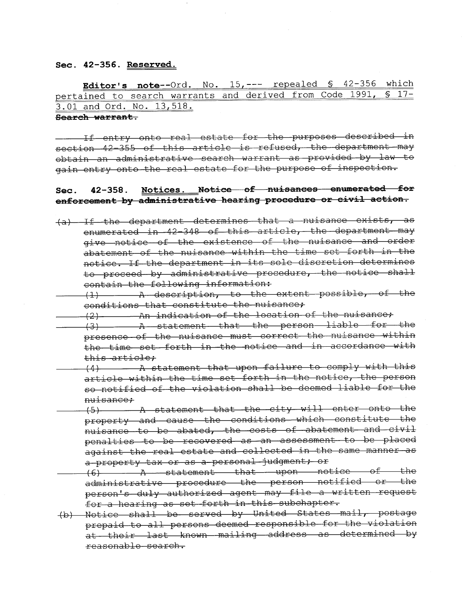#### Sec. 42-356. Reserved.

Editor's note--Ord. No. 15, --- repealed § 42-356 which pertained to search warrants and derived from Code 1991, § 17- 3.01 and Ord. No. 13,518.

#### Search warrant.

If entry onto real estate for the purposes described in  $section -42 -355$  of this article is refused, the department may obtain an administrative search warrant as provided by law to gain entry onto the real estate for the purpose of inspection.

# Sec. 42-358. Notices. Notice of nuisances enumerated for enforcement by administrative hearing procedure or civil action.

- $(a)$  If the department determines that a nuisance exists, as enumerated in 42-348 of this article, the department may give notice of the existence of the nuisance and order abatement of the nuisance within the time set forth in the notice. If the department in its sole discretion determines to proceed by administrative procedure, the notice shall contain the following information:
- $(1)$   $\ldots$  A description, to the extent possible, of the conditions that constitute the nuisance;
- $(2)$  An indication of the location of the nuisance;
- $(3)$   $A$  statement that the person liable for the presence of the nuisance must correct the nuisance within the time set forth in the notice and in accordance with<br>this article;<br>(4) - A statement that upon failure to comply with this
- article within the time set forth in the notice, the person so notified of the violation shall be deemed liable for the
- nuisance;<br>(5) A statement that the city will enter onto the property and cause the conditions which constitute the nuisance to be abated, the costs of abatement and civil penalties to be recovered as an assessment to be placed against the real estate and collected in the same manner as a property tax or as a personal judgment; or
- $(6)$   $A$  statement that upon notice of the administrative procedure the person notified or the person's duly authorized agent may file a written request for a hearing as set forth in this subchapter.
- (b) Notice shall be served by United States mail, postage prepaid to all persons deemed responsible for the violation at their last known mailing address as determined by reasonable search.